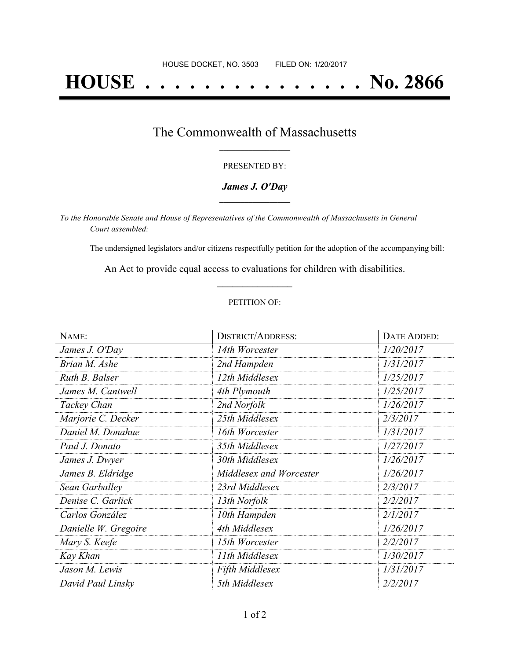# **HOUSE . . . . . . . . . . . . . . . No. 2866**

### The Commonwealth of Massachusetts **\_\_\_\_\_\_\_\_\_\_\_\_\_\_\_\_\_**

#### PRESENTED BY:

#### *James J. O'Day* **\_\_\_\_\_\_\_\_\_\_\_\_\_\_\_\_\_**

*To the Honorable Senate and House of Representatives of the Commonwealth of Massachusetts in General Court assembled:*

The undersigned legislators and/or citizens respectfully petition for the adoption of the accompanying bill:

An Act to provide equal access to evaluations for children with disabilities. **\_\_\_\_\_\_\_\_\_\_\_\_\_\_\_**

#### PETITION OF:

| NAME:                | <b>DISTRICT/ADDRESS:</b> | DATE ADDED: |
|----------------------|--------------------------|-------------|
| James J. O'Day       | 14th Worcester           | 1/20/2017   |
| Brian M. Ashe        | 2nd Hampden              | 1/31/2017   |
| Ruth B. Balser       | 12th Middlesex           | 1/25/2017   |
| James M. Cantwell    | 4th Plymouth             | 1/25/2017   |
| Tackey Chan          | 2nd Norfolk              | 1/26/2017   |
| Marjorie C. Decker   | 25th Middlesex           | 2/3/2017    |
| Daniel M. Donahue    | 16th Worcester           | 1/31/2017   |
| Paul J. Donato       | 35th Middlesex           | 1/27/2017   |
| James J. Dwyer       | 30th Middlesex           | 1/26/2017   |
| James B. Eldridge    | Middlesex and Worcester  | 1/26/2017   |
| Sean Garballey       | 23rd Middlesex           | 2/3/2017    |
| Denise C. Garlick    | 13th Norfolk             | 2/2/2017    |
| Carlos González      | 10th Hampden             | 2/1/2017    |
| Danielle W. Gregoire | 4th Middlesex            | 1/26/2017   |
| Mary S. Keefe        | 15th Worcester           | 2/2/2017    |
| Kay Khan             | 11th Middlesex           | 1/30/2017   |
| Jason M. Lewis       | <b>Fifth Middlesex</b>   | 1/31/2017   |
| David Paul Linsky    | 5th Middlesex            | 2/2/2017    |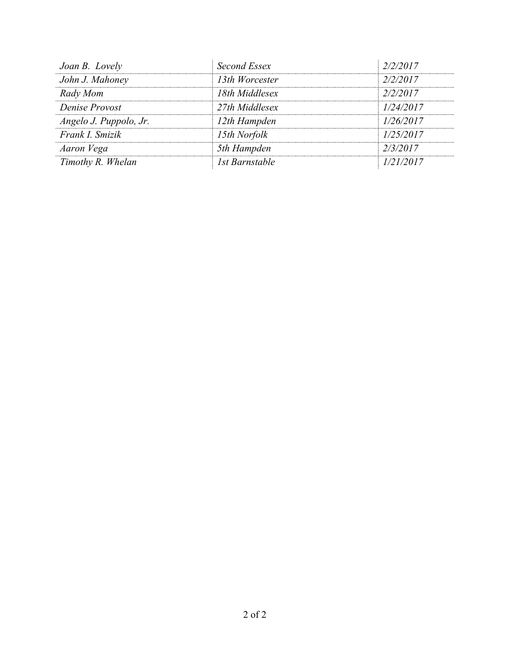| Joan B. Lovely         | Second Essex          | 2/2/2017  |
|------------------------|-----------------------|-----------|
| John J. Mahoney        | 13th Worcester        | 2/2/2017  |
| Rady Mom               | 18th Middlesex        | 2/2/2017  |
| Denise Provost         | 27th Middlesex        | 1/24/2017 |
| Angelo J. Puppolo, Jr. | 12th Hampden          | 1/26/2017 |
| Frank I. Smizik        | 15th Norfolk          | 1/25/2017 |
| Aaron Vega             | 5th Hampden           | 2/3/2017  |
| Timothy R. Whelan      | <b>1st Barnstable</b> | 1/21/2017 |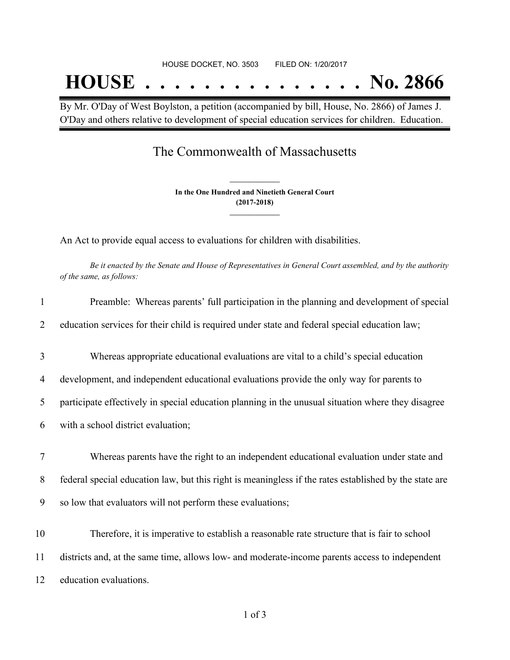# HOUSE DOCKET, NO. 3503 FILED ON: 1/20/2017 **HOUSE . . . . . . . . . . . . . . . No. 2866**

By Mr. O'Day of West Boylston, a petition (accompanied by bill, House, No. 2866) of James J. O'Day and others relative to development of special education services for children. Education.

## The Commonwealth of Massachusetts

**In the One Hundred and Ninetieth General Court (2017-2018) \_\_\_\_\_\_\_\_\_\_\_\_\_\_\_**

**\_\_\_\_\_\_\_\_\_\_\_\_\_\_\_**

An Act to provide equal access to evaluations for children with disabilities.

Be it enacted by the Senate and House of Representatives in General Court assembled, and by the authority *of the same, as follows:*

| 1      | Preamble: Whereas parents' full participation in the planning and development of special               |
|--------|--------------------------------------------------------------------------------------------------------|
| 2      | education services for their child is required under state and federal special education law;          |
| 3      | Whereas appropriate educational evaluations are vital to a child's special education                   |
| 4      | development, and independent educational evaluations provide the only way for parents to               |
| 5      | participate effectively in special education planning in the unusual situation where they disagree     |
| 6      | with a school district evaluation;                                                                     |
| $\tau$ | Whereas parents have the right to an independent educational evaluation under state and                |
| 8      | federal special education law, but this right is meaningless if the rates established by the state are |
| 9      | so low that evaluators will not perform these evaluations;                                             |
| 10     | Therefore, it is imperative to establish a reasonable rate structure that is fair to school            |
| 11     | districts and, at the same time, allows low- and moderate-income parents access to independent         |
| 12     | education evaluations.                                                                                 |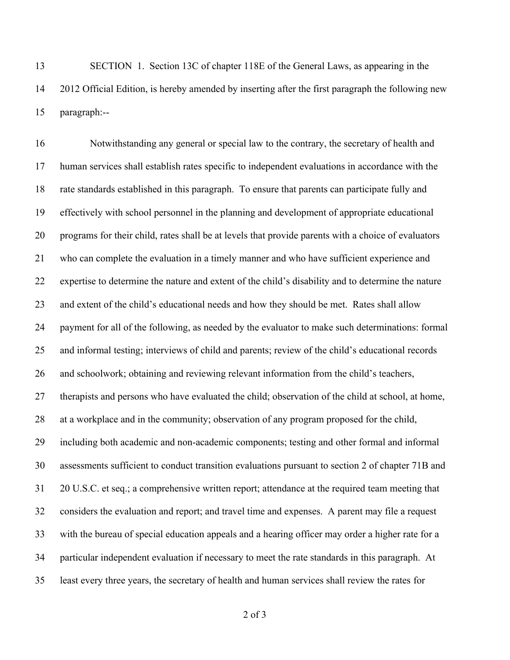SECTION 1. Section 13C of chapter 118E of the General Laws, as appearing in the 2012 Official Edition, is hereby amended by inserting after the first paragraph the following new paragraph:--

 Notwithstanding any general or special law to the contrary, the secretary of health and human services shall establish rates specific to independent evaluations in accordance with the rate standards established in this paragraph. To ensure that parents can participate fully and effectively with school personnel in the planning and development of appropriate educational programs for their child, rates shall be at levels that provide parents with a choice of evaluators who can complete the evaluation in a timely manner and who have sufficient experience and expertise to determine the nature and extent of the child's disability and to determine the nature and extent of the child's educational needs and how they should be met. Rates shall allow payment for all of the following, as needed by the evaluator to make such determinations: formal and informal testing; interviews of child and parents; review of the child's educational records and schoolwork; obtaining and reviewing relevant information from the child's teachers, therapists and persons who have evaluated the child; observation of the child at school, at home, at a workplace and in the community; observation of any program proposed for the child, including both academic and non-academic components; testing and other formal and informal assessments sufficient to conduct transition evaluations pursuant to section 2 of chapter 71B and 20 U.S.C. et seq.; a comprehensive written report; attendance at the required team meeting that considers the evaluation and report; and travel time and expenses. A parent may file a request with the bureau of special education appeals and a hearing officer may order a higher rate for a particular independent evaluation if necessary to meet the rate standards in this paragraph. At least every three years, the secretary of health and human services shall review the rates for

of 3